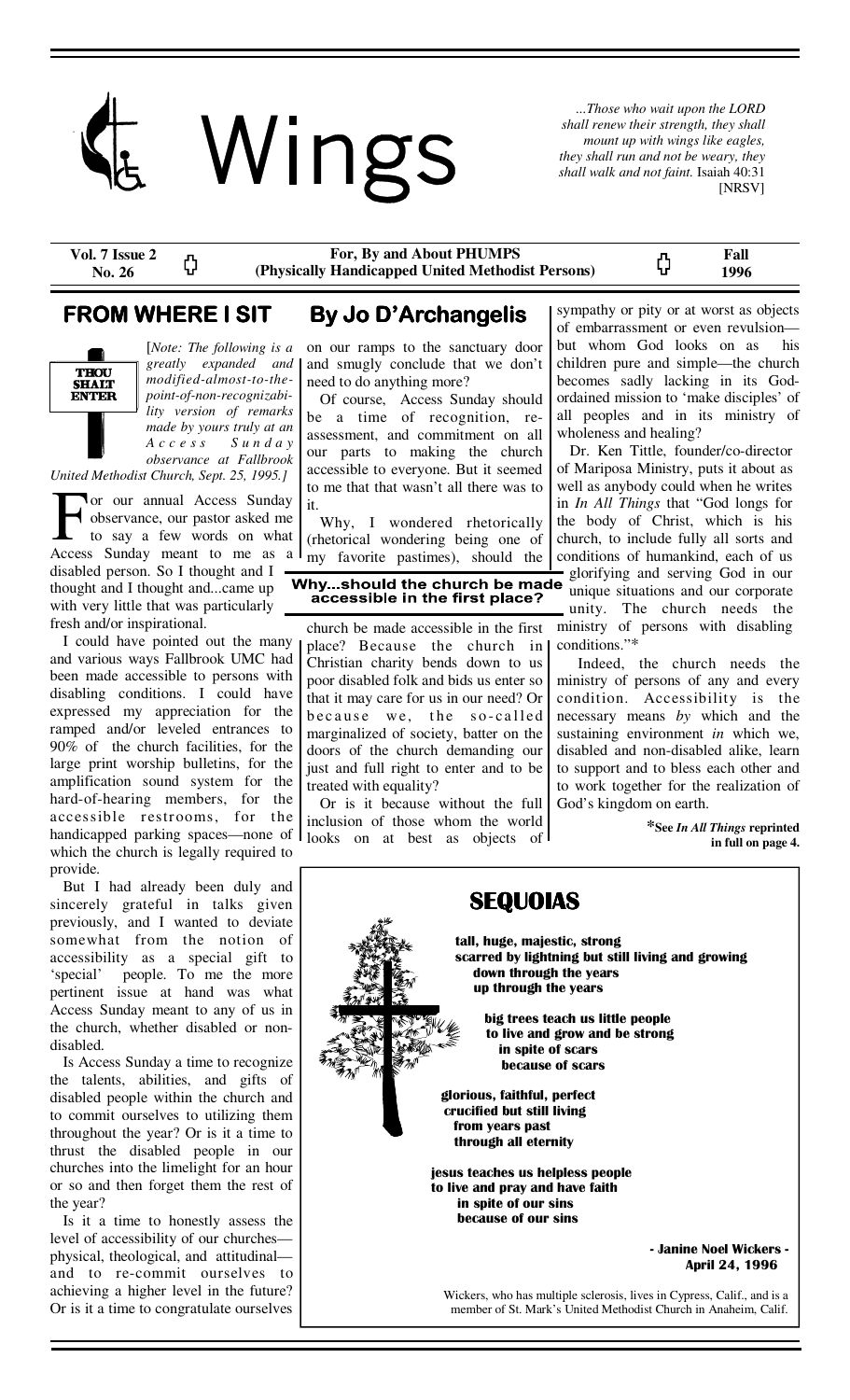

*...Those who wait upon the LORD shall renew their strength, they shall mount up with wings like eagles, they shall run and not be weary, they shall walk and not faint.* Isaiah 40:31 [NRSV]

**Vol. 7 Issue 2**  ረጋ **No. 26** 

**For, By and About PHUMPS (Physically Handicapped United Methodist Persons)** 

ርጋ

**Fall 1996** 



[*Note: The following is a greatly expanded and modified-almost-to-thepoint-of-non-recognizability version of remarks made by yours truly at an A c c e s s S u n d a y observance at Fallbrook United Methodist Church, Sept. 25, 1995.]* 

**Tor our annual Access Sunday** observance, our pastor asked me to say a few words on what Access Sunday meant to me as a disabled person. So I thought and I thought and I thought and...came up with very little that was particularly fresh and/or inspirational.

 I could have pointed out the many and various ways Fallbrook UMC had been made accessible to persons with disabling conditions. I could have expressed my appreciation for the ramped and/or leveled entrances to 90% of the church facilities, for the large print worship bulletins, for the amplification sound system for the hard-of-hearing members, for the accessible restrooms, for the handicapped parking spaces—none of which the church is legally required to provide.

 But I had already been duly and sincerely grateful in talks given previously, and I wanted to deviate somewhat from the notion of accessibility as a special gift to 'special' people. To me the more pertinent issue at hand was what Access Sunday meant to any of us in the church, whether disabled or nondisabled.

 Is Access Sunday a time to recognize the talents, abilities, and gifts of disabled people within the church and to commit ourselves to utilizing them throughout the year? Or is it a time to thrust the disabled people in our churches into the limelight for an hour or so and then forget them the rest of the year?

 Is it a time to honestly assess the level of accessibility of our churches physical, theological, and attitudinal and to re-commit ourselves to achieving a higher level in the future? Or is it a time to congratulate ourselves

# **FROM WHERE I SIT By Jo D'Archangelis**

on our ramps to the sanctuary door and smugly conclude that we don't need to do anything more?

 Of course, Access Sunday should be a time of recognition, reassessment, and commitment on all our parts to making the church accessible to everyone. But it seemed to me that that wasn't all there was to it.

 Why, I wondered rhetorically (rhetorical wondering being one of my favorite pastimes), should the

### Why...should the church be made accessible in the first place?

church be made accessible in the first place? Because the church in Christian charity bends down to us poor disabled folk and bids us enter so that it may care for us in our need? Or because we, the so-called marginalized of society, batter on the doors of the church demanding our just and full right to enter and to be treated with equality?

 Or is it because without the full inclusion of those whom the world looks on at best as objects of

sympathy or pity or at worst as objects of embarrassment or even revulsion but whom God looks on as his children pure and simple—the church becomes sadly lacking in its Godordained mission to 'make disciples' of all peoples and in its ministry of wholeness and healing?

 Dr. Ken Tittle, founder/co-director of Mariposa Ministry, puts it about as well as anybody could when he writes in *In All Things* that "God longs for the body of Christ, which is his church, to include fully all sorts and conditions of humankind, each of us glorifying and serving God in our

unique situations and our corporate unity. The church needs the ministry of persons with disabling conditions."\*

 Indeed, the church needs the ministry of persons of any and every condition. Accessibility is the necessary means *by* which and the sustaining environment *in* which we, disabled and non-disabled alike, learn to support and to bless each other and to work together for the realization of God's kingdom on earth.

> **\*See** *In All Things* **reprinted in full on page 4.**

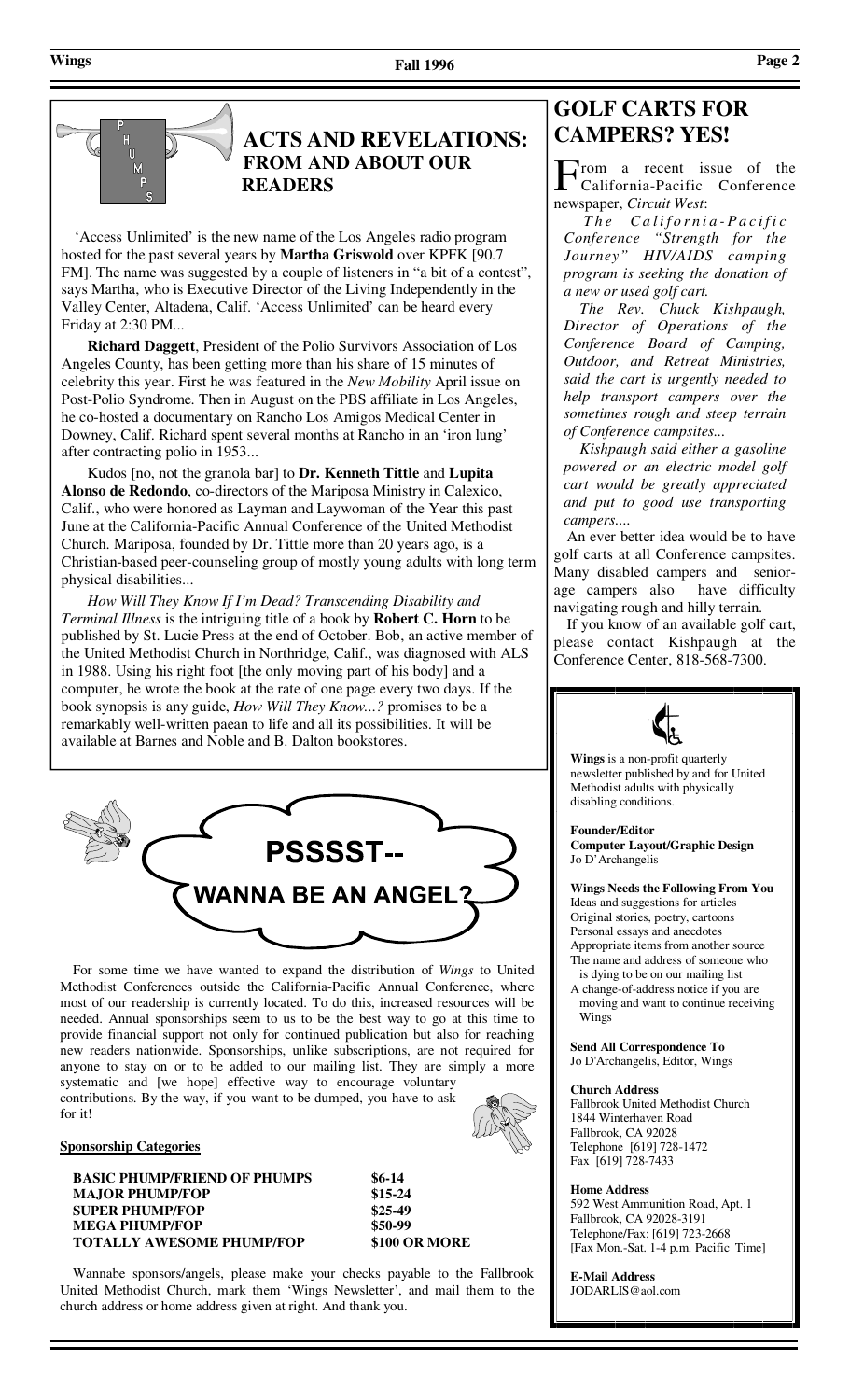# **ACTS AND REVELATIONS: CAMPERS? YES! FROM AND ABOUT OUR READERS**

'Access Unlimited' is the new name of the Los Angeles radio program hosted for the past several years by **Martha Griswold** over KPFK [90.7 FM]. The name was suggested by a couple of listeners in "a bit of a contest", says Martha, who is Executive Director of the Living Independently in the Valley Center, Altadena, Calif. 'Access Unlimited' can be heard every Friday at 2:30 PM...

 **Richard Daggett**, President of the Polio Survivors Association of Los Angeles County, has been getting more than his share of 15 minutes of celebrity this year. First he was featured in the *New Mobility* April issue on Post-Polio Syndrome. Then in August on the PBS affiliate in Los Angeles, he co-hosted a documentary on Rancho Los Amigos Medical Center in Downey, Calif. Richard spent several months at Rancho in an 'iron lung' after contracting polio in 1953...

 Kudos [no, not the granola bar] to **Dr. Kenneth Tittle** and **Lupita Alonso de Redondo**, co-directors of the Mariposa Ministry in Calexico, Calif., who were honored as Layman and Laywoman of the Year this past June at the California-Pacific Annual Conference of the United Methodist Church. Mariposa, founded by Dr. Tittle more than 20 years ago, is a Christian-based peer-counseling group of mostly young adults with long term physical disabilities...

 *How Will They Know If I'm Dead? Transcending Disability and Terminal Illness* is the intriguing title of a book by **Robert C. Horn** to be published by St. Lucie Press at the end of October. Bob, an active member of the United Methodist Church in Northridge, Calif., was diagnosed with ALS in 1988. Using his right foot [the only moving part of his body] and a computer, he wrote the book at the rate of one page every two days. If the book synopsis is any guide, *How Will They Know...?* promises to be a remarkably well-written paean to life and all its possibilities. It will be available at Barnes and Noble and B. Dalton bookstores.



 For some time we have wanted to expand the distribution of *Wings* to United Methodist Conferences outside the California-Pacific Annual Conference, where most of our readership is currently located. To do this, increased resources will be needed. Annual sponsorships seem to us to be the best way to go at this time to provide financial support not only for continued publication but also for reaching new readers nationwide. Sponsorships, unlike subscriptions, are not required for anyone to stay on or to be added to our mailing list. They are simply a more systematic and [we hope] effective way to encourage voluntary contributions. By the way, if you want to be dumped, you have to ask

### **Sponsorship Categories**

for it!

**BASIC PHUMP/FRIEND OF PHUMPS** \$6-14  **MAJOR PHUMP/FOP \$15-24 SUPER PHUMP/FOP MEGA PHUMP/FOP** \$50-99  **TOTALLY AWESOME PHUMP/FOP \$100 OR MORE** 

 Wannabe sponsors/angels, please make your checks payable to the Fallbrook United Methodist Church, mark them 'Wings Newsletter', and mail them to the church address or home address given at right. And thank you.

# **GOLF CARTS FOR**

rom a recent issue of the California-Pacific Conference newspaper, *Circuit West*:

 *T h e C a l i f o r n i a - P a c i f i c Conference "Strength for the Journey" HIV/AIDS camping program is seeking the donation of a new or used golf cart.* 

 *The Rev. Chuck Kishpaugh, Director of Operations of the Conference Board of Camping, Outdoor, and Retreat Ministries, said the cart is urgently needed to help transport campers over the sometimes rough and steep terrain of Conference campsites...* 

 *Kishpaugh said either a gasoline powered or an electric model golf cart would be greatly appreciated and put to good use transporting campers....*

 An ever better idea would be to have golf carts at all Conference campsites. Many disabled campers and seniorage campers also have difficulty navigating rough and hilly terrain.

 If you know of an available golf cart, please contact Kishpaugh at the Conference Center, 818-568-7300.



**Wings** is a non-profit quarterly newsletter published by and for United Methodist adults with physically disabling conditions.

**Founder/Editor Computer Layout/Graphic Design**  Jo D'Archangelis

**Wings Needs the Following From You**  Ideas and suggestions for articles Original stories, poetry, cartoons Personal essays and anecdotes

Appropriate items from another source The name and address of someone who is dying to be on our mailing list

A change-of-address notice if you are moving and want to continue receiving Wings

**Send All Correspondence To**  Jo D'Archangelis, Editor, Wings

### **Church Address**

Fallbrook United Methodist Church 1844 Winterhaven Road Fallbrook, CA 92028 Telephone [619] 728-1472 Fax [619] 728-7433

### **Home Address**

592 West Ammunition Road, Apt. 1 Fallbrook, CA 92028-3191 Telephone/Fax: [619] 723-2668 [Fax Mon.-Sat. 1-4 p.m. Pacific Time]

**E-Mail Address**  JODARLIS@aol.com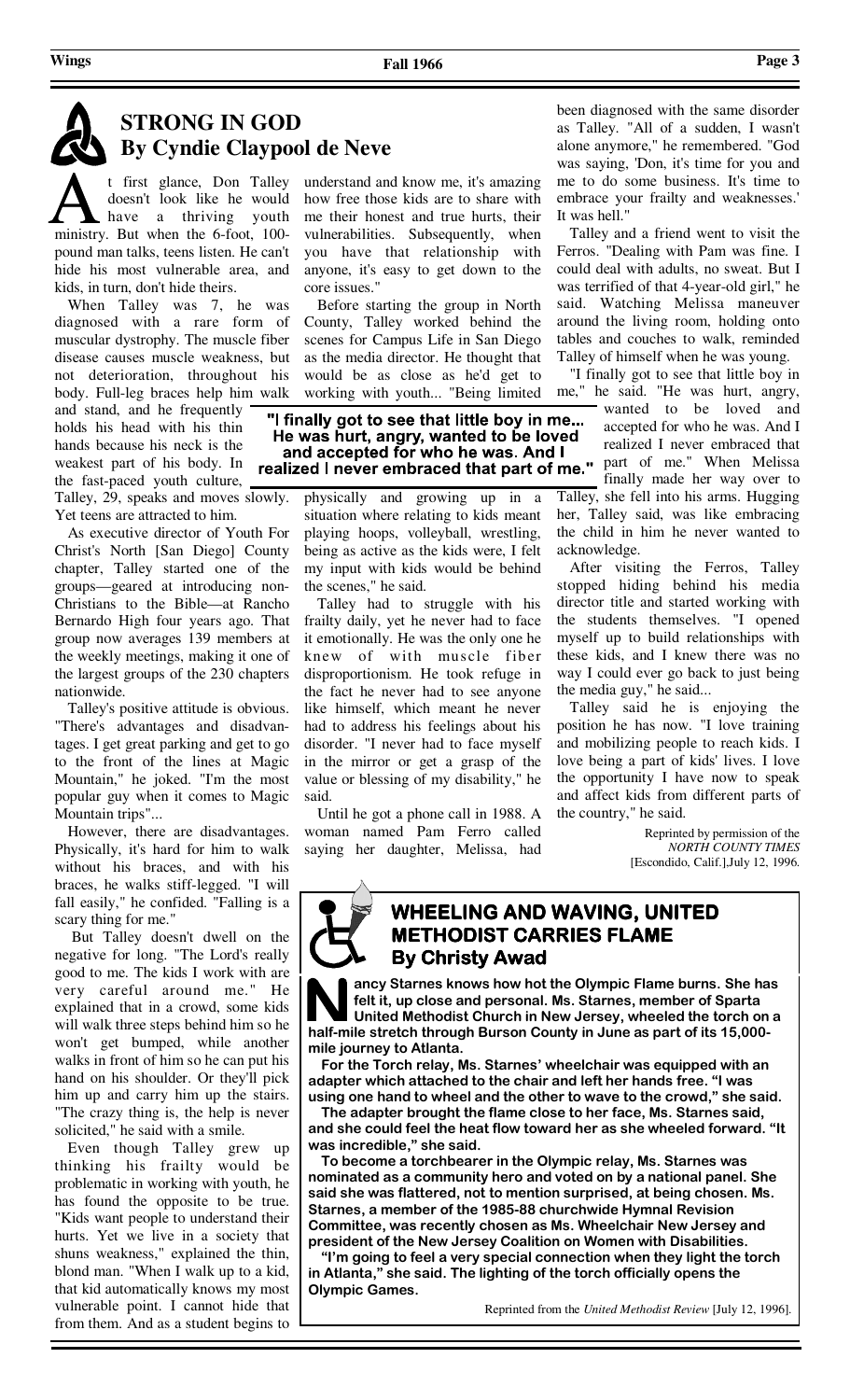t first glance, Don Talley doesn't look like he would have a thriving youth ministry. But when the 6-foot, 100 pound man talks, teens listen. He can't hide his most vulnerable area, and kids, in turn, don't hide theirs.

 When Talley was 7, he was diagnosed with a rare form of muscular dystrophy. The muscle fiber disease causes muscle weakness, but not deterioration, throughout his body. Full-leg braces help him walk and stand, and he frequently holds his head with his thin hands because his neck is the weakest part of his body. In the fast-paced youth culture,

Talley, 29, speaks and moves slowly. Yet teens are attracted to him.

 As executive director of Youth For Christ's North [San Diego] County chapter, Talley started one of the groups—geared at introducing non-Christians to the Bible—at Rancho Bernardo High four years ago. That group now averages 139 members at the weekly meetings, making it one of the largest groups of the 230 chapters nationwide.

 Talley's positive attitude is obvious. "There's advantages and disadvantages. I get great parking and get to go to the front of the lines at Magic Mountain," he joked. "I'm the most popular guy when it comes to Magic Mountain trips"...

 However, there are disadvantages. Physically, it's hard for him to walk without his braces, and with his braces, he walks stiff-legged. "I will fall easily," he confided. "Falling is a scary thing for me."

 But Talley doesn't dwell on the negative for long. "The Lord's really good to me. The kids I work with are very careful around me." He explained that in a crowd, some kids will walk three steps behind him so he won't get bumped, while another walks in front of him so he can put his hand on his shoulder. Or they'll pick him up and carry him up the stairs. "The crazy thing is, the help is never solicited," he said with a smile.

 Even though Talley grew up thinking his frailty would be problematic in working with youth, he has found the opposite to be true. "Kids want people to understand their hurts. Yet we live in a society that shuns weakness," explained the thin, blond man. "When I walk up to a kid, that kid automatically knows my most vulnerable point. I cannot hide that from them. And as a student begins to understand and know me, it's amazing how free those kids are to share with me their honest and true hurts, their vulnerabilities. Subsequently, when you have that relationship with anyone, it's easy to get down to the core issues."

 Before starting the group in North County, Talley worked behind the scenes for Campus Life in San Diego as the media director. He thought that would be as close as he'd get to working with youth... "Being limited

"I finally got to see that little boy in me... He was hurt, angry, wanted to be loved and accepted for who he was. And I realized I never embraced that part of me." part of me." When Melissa

physically and growing up in a situation where relating to kids meant playing hoops, volleyball, wrestling, being as active as the kids were, I felt my input with kids would be behind the scenes," he said.

 Talley had to struggle with his frailty daily, yet he never had to face it emotionally. He was the only one he knew of with muscle fiber disproportionism. He took refuge in the fact he never had to see anyone like himself, which meant he never had to address his feelings about his disorder. "I never had to face myself in the mirror or get a grasp of the value or blessing of my disability," he said.

 Until he got a phone call in 1988. A woman named Pam Ferro called saying her daughter, Melissa, had

been diagnosed with the same disorder as Talley. "All of a sudden, I wasn't alone anymore," he remembered. "God was saying, 'Don, it's time for you and me to do some business. It's time to embrace your frailty and weaknesses.' It was hell."

 Talley and a friend went to visit the Ferros. "Dealing with Pam was fine. I could deal with adults, no sweat. But I was terrified of that 4-year-old girl," he said. Watching Melissa maneuver around the living room, holding onto tables and couches to walk, reminded Talley of himself when he was young.

 "I finally got to see that little boy in me," he said. "He was hurt, angry,

wanted to be loved and accepted for who he was. And I realized I never embraced that finally made her way over to Talley, she fell into his arms. Hugging her, Talley said, was like embracing the child in him he never wanted to acknowledge.

 After visiting the Ferros, Talley stopped hiding behind his media director title and started working with the students themselves. "I opened myself up to build relationships with these kids, and I knew there was no way I could ever go back to just being the media guy," he said...

 Talley said he is enjoying the position he has now. "I love training and mobilizing people to reach kids. I love being a part of kids' lives. I love the opportunity I have now to speak and affect kids from different parts of the country," he said.

> Reprinted by permission of the *NORTH COUNTY TIMES*  [Escondido, Calif.],July 12, 1996.

## **WHEELING AND WAVING, UNITED METHODIST CARRIES FLAME By Christy Awad By Christy Awad Christy Awad**

**ancy Starnes knows how hot the Olympic Flame burns. She has felt it, up close and personal. Ms. Starnes, member of Sparta United Methodist Church in New Jersey, wheeled the torch on a half-mile stretch through Burson County in June as part of its 15,000 mile journey to Atlanta.** 

 **For the Torch relay, Ms. Starnes' wheelchair was equipped with an adapter which attached to the chair and left her hands free. "I was using one hand to wheel and the other to wave to the crowd," she said.** 

 **The adapter brought the flame close to her face, Ms. Starnes said, and she could feel the heat flow toward her as she wheeled forward. "It was incredible," she said.** 

 **To become a torchbearer in the Olympic relay, Ms. Starnes was nominated as a community hero and voted on by a national panel. She said she was flattered, not to mention surprised, at being chosen. Ms. Starnes, a member of the 1985-88 churchwide Hymnal Revision Committee, was recently chosen as Ms. Wheelchair New Jersey and president of the New Jersey Coalition on Women with Disabilities.** 

 **"I'm going to feel a very special connection when they light the torch in Atlanta," she said. The lighting of the torch officially opens the Olympic Games.**

Reprinted from the *United Methodist Review* [July 12, 1996].